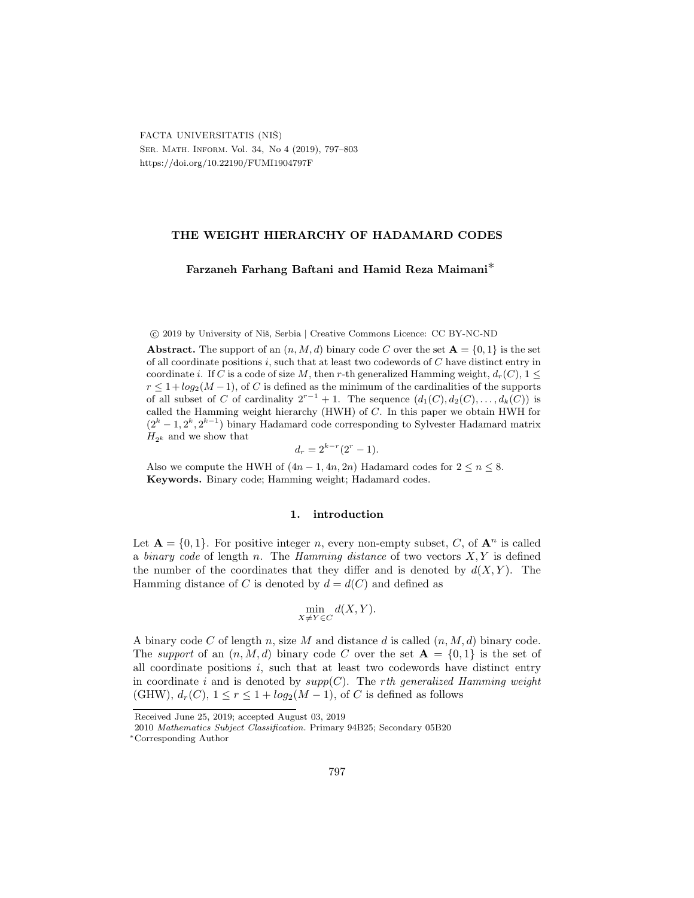## THE WEIGHT HIERARCHY OF HADAMARD CODES

## Farzaneh Farhang Baftani and Hamid Reza Maimani∗

c 2019 by University of Niˇs, Serbia | Creative Commons Licence: CC BY-NC-ND

Abstract. The support of an  $(n, M, d)$  binary code C over the set  $A = \{0, 1\}$  is the set of all coordinate positions  $i$ , such that at least two codewords of  $C$  have distinct entry in coordinate i. If C is a code of size M, then r-th generalized Hamming weight,  $d_r(C)$ ,  $1 \leq$  $r \leq 1 + log_2(M-1)$ , of C is defined as the minimum of the cardinalities of the supports of all subset of C of cardinality  $2^{r-1}+1$ . The sequence  $(d_1(C), d_2(C), \ldots, d_k(C))$  is called the Hamming weight hierarchy (HWH) of C. In this paper we obtain HWH for  $(2<sup>k</sup> - 1, 2<sup>k</sup>, 2<sup>k-1</sup>)$  binary Hadamard code corresponding to Sylvester Hadamard matrix  $H_{2k}$  and we show that

$$
d_r = 2^{k-r} (2^r - 1).
$$

Also we compute the HWH of  $(4n - 1, 4n, 2n)$  Hadamard codes for  $2 \le n \le 8$ . Keywords. Binary code; Hamming weight; Hadamard codes.

#### 1. introduction

Let  $\mathbf{A} = \{0, 1\}$ . For positive integer n, every non-empty subset, C, of  $\mathbf{A}^n$  is called a binary code of length n. The Hamming distance of two vectors  $X, Y$  is defined the number of the coordinates that they differ and is denoted by  $d(X, Y)$ . The Hamming distance of C is denoted by  $d = d(C)$  and defined as

$$
\min_{X \neq Y \in C} d(X, Y).
$$

A binary code C of length n, size M and distance d is called  $(n, M, d)$  binary code. The support of an  $(n, M, d)$  binary code C over the set  $A = \{0, 1\}$  is the set of all coordinate positions  $i$ , such that at least two codewords have distinct entry in coordinate i and is denoted by  $supp(C)$ . The rth generalized Hamming weight (GHW),  $d_r(C)$ ,  $1 \leq r \leq 1 + log_2(M-1)$ , of C is defined as follows

Received June 25, 2019; accepted August 03, 2019

<sup>2010</sup> Mathematics Subject Classification. Primary 94B25; Secondary 05B20

<sup>∗</sup>Corresponding Author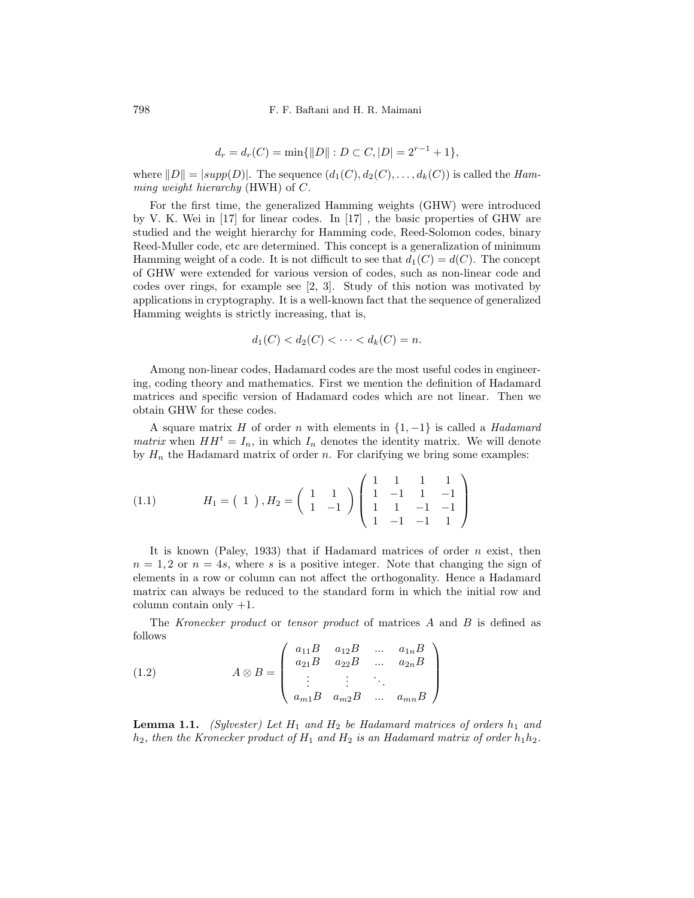798 F. F. Baftani and H. R. Maimani

$$
d_r = d_r(C) = \min\{\|D\| : D \subset C, |D| = 2^{r-1} + 1\},\
$$

where  $||D|| = |supp(D)|$ . The sequence  $(d_1(C), d_2(C), \ldots, d_k(C))$  is called the Hamming weight hierarchy (HWH) of C.

For the first time, the generalized Hamming weights (GHW) were introduced by V. K. Wei in [17] for linear codes. In [17] , the basic properties of GHW are studied and the weight hierarchy for Hamming code, Reed-Solomon codes, binary Reed-Muller code, etc are determined. This concept is a generalization of minimum Hamming weight of a code. It is not difficult to see that  $d_1(C) = d(C)$ . The concept of GHW were extended for various version of codes, such as non-linear code and codes over rings, for example see [2, 3]. Study of this notion was motivated by applications in cryptography. It is a well-known fact that the sequence of generalized Hamming weights is strictly increasing, that is,

$$
d_1(C) < d_2(C) < \dots < d_k(C) = n.
$$

Among non-linear codes, Hadamard codes are the most useful codes in engineering, coding theory and mathematics. First we mention the definition of Hadamard matrices and specific version of Hadamard codes which are not linear. Then we obtain GHW for these codes.

A square matrix H of order n with elements in  $\{1, -1\}$  is called a Hadamard *matrix* when  $HH^t = I_n$ , in which  $I_n$  denotes the identity matrix. We will denote by  $H_n$  the Hadamard matrix of order n. For clarifying we bring some examples:

(1.1) 
$$
H_1 = \begin{pmatrix} 1 \end{pmatrix}, H_2 = \begin{pmatrix} 1 & 1 \\ 1 & -1 \end{pmatrix} \begin{pmatrix} 1 & 1 & 1 & 1 \\ 1 & -1 & 1 & -1 \\ 1 & 1 & -1 & -1 \\ 1 & -1 & -1 & 1 \end{pmatrix}
$$

It is known (Paley, 1933) that if Hadamard matrices of order  $n$  exist, then  $n = 1, 2$  or  $n = 4s$ , where s is a positive integer. Note that changing the sign of elements in a row or column can not affect the orthogonality. Hence a Hadamard matrix can always be reduced to the standard form in which the initial row and column contain only  $+1$ .

The Kronecker product or tensor product of matrices A and B is defined as follows

(1.2) 
$$
A \otimes B = \begin{pmatrix} a_{11}B & a_{12}B & \dots & a_{1n}B \\ a_{21}B & a_{22}B & \dots & a_{2n}B \\ \vdots & \vdots & \ddots & \vdots \\ a_{m1}B & a_{m2}B & \dots & a_{mn}B \end{pmatrix}
$$

**Lemma 1.1.** (Sylvester) Let  $H_1$  and  $H_2$  be Hadamard matrices of orders  $h_1$  and  $h_2$ , then the Kronecker product of  $H_1$  and  $H_2$  is an Hadamard matrix of order  $h_1h_2$ .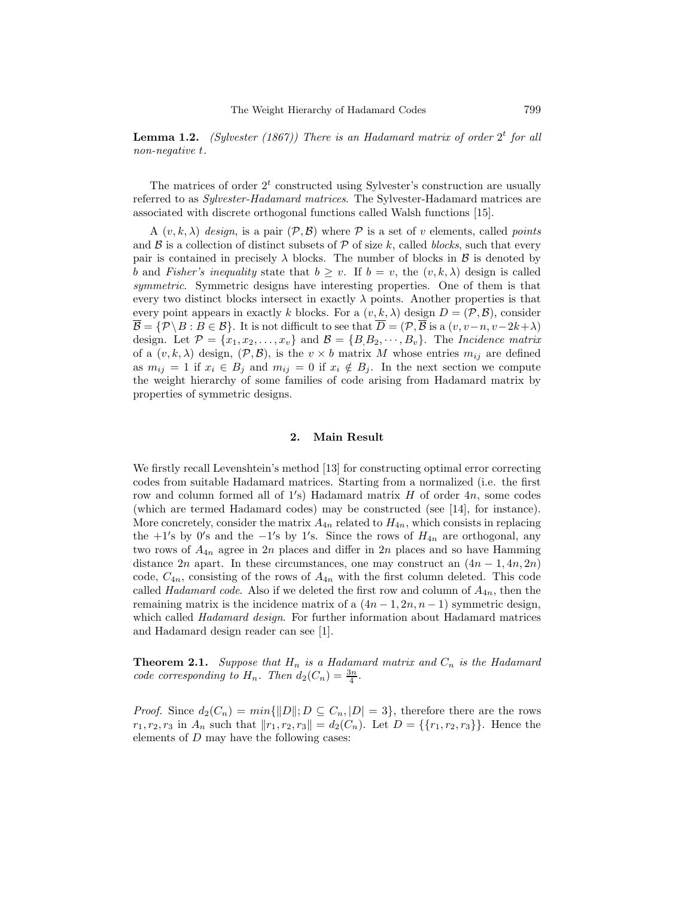**Lemma 1.2.** (Sylvester (1867)) There is an Hadamard matrix of order  $2<sup>t</sup>$  for all non-negative t.

The matrices of order  $2<sup>t</sup>$  constructed using Sylvester's construction are usually referred to as Sylvester-Hadamard matrices. The Sylvester-Hadamard matrices are associated with discrete orthogonal functions called Walsh functions [15].

A  $(v, k, \lambda)$  design, is a pair  $(\mathcal{P}, \mathcal{B})$  where  $\mathcal P$  is a set of v elements, called points and  $\beta$  is a collection of distinct subsets of P of size k, called blocks, such that every pair is contained in precisely  $\lambda$  blocks. The number of blocks in  $\beta$  is denoted by b and Fisher's inequality state that  $b > v$ . If  $b = v$ , the  $(v, k, \lambda)$  design is called symmetric. Symmetric designs have interesting properties. One of them is that every two distinct blocks intersect in exactly  $\lambda$  points. Another properties is that every point appears in exactly k blocks. For a  $(v, k, \lambda)$  design  $D = (\mathcal{P}, \mathcal{B})$ , consider  $\overline{\mathcal{B}} = {\mathcal{P} \setminus B : B \in \mathcal{B}}.$  It is not difficult to see that  $\overline{D} = (\mathcal{P}, \overline{\mathcal{B}})$  is a  $(v, v-n, v-2k+\lambda)$ design. Let  $\mathcal{P} = \{x_1, x_2, \ldots, x_v\}$  and  $\mathcal{B} = \{B, B_2, \cdots, B_v\}$ . The *Incidence matrix* of a  $(v, k, \lambda)$  design,  $(\mathcal{P}, \mathcal{B})$ , is the  $v \times b$  matrix M whose entries  $m_{ij}$  are defined as  $m_{ij} = 1$  if  $x_i \in B_j$  and  $m_{ij} = 0$  if  $x_i \notin B_j$ . In the next section we compute the weight hierarchy of some families of code arising from Hadamard matrix by properties of symmetric designs.

# 2. Main Result

We firstly recall Levenshtein's method [13] for constructing optimal error correcting codes from suitable Hadamard matrices. Starting from a normalized (i.e. the first row and column formed all of 1's) Hadamard matrix H of order 4n, some codes (which are termed Hadamard codes) may be constructed (see [14], for instance). More concretely, consider the matrix  $A_{4n}$  related to  $H_{4n}$ , which consists in replacing the  $+1$ 's by 0's and the  $-1$ 's by 1's. Since the rows of  $H_{4n}$  are orthogonal, any two rows of  $A_{4n}$  agree in 2n places and differ in 2n places and so have Hamming distance 2n apart. In these circumstances, one may construct an  $(4n - 1, 4n, 2n)$ code,  $C_{4n}$ , consisting of the rows of  $A_{4n}$  with the first column deleted. This code called Hadamard code. Also if we deleted the first row and column of  $A_{4n}$ , then the remaining matrix is the incidence matrix of a  $(4n-1, 2n, n-1)$  symmetric design, which called *Hadamard design*. For further information about Hadamard matrices and Hadamard design reader can see [1].

**Theorem 2.1.** Suppose that  $H_n$  is a Hadamard matrix and  $C_n$  is the Hadamard code corresponding to  $H_n$ . Then  $d_2(C_n) = \frac{3n}{4}$ .

*Proof.* Since  $d_2(C_n) = min{\{\Vert D \Vert; D \subseteq C_n, |D| = 3\}}$ , therefore there are the rows  $r_1, r_2, r_3$  in  $A_n$  such that  $||r_1, r_2, r_3|| = d_2(C_n)$ . Let  $D = \{\{r_1, r_2, r_3\}\}\.$  Hence the elements of D may have the following cases: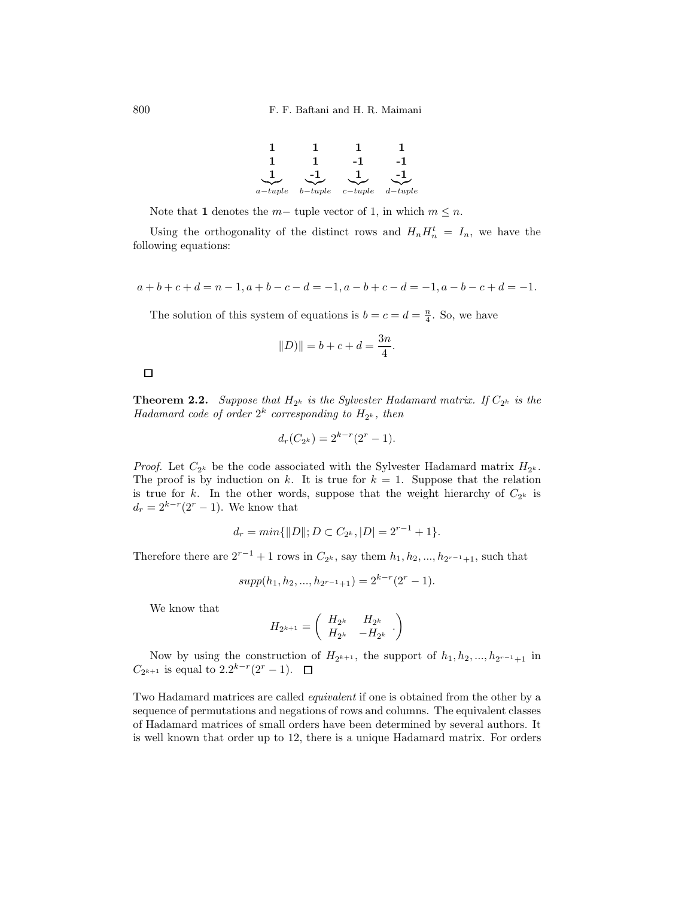

Note that 1 denotes the  $m-$  tuple vector of 1, in which  $m \leq n$ .

Using the orthogonality of the distinct rows and  $H_n H_n^t = I_n$ , we have the following equations:

$$
a+b+c+d = n-1, a+b-c-d = -1, a-b+c-d = -1, a-b-c+d = -1.
$$

The solution of this system of equations is  $b = c = d = \frac{n}{4}$ . So, we have

$$
||D)|| = b + c + d = \frac{3n}{4}.
$$

## $\Box$

**Theorem 2.2.** Suppose that  $H_{2^k}$  is the Sylvester Hadamard matrix. If  $C_{2^k}$  is the Hadamard code of order  $2^k$  corresponding to  $H_{2^k}$ , then

$$
d_r(C_{2^k}) = 2^{k-r}(2^r - 1).
$$

*Proof.* Let  $C_{2^k}$  be the code associated with the Sylvester Hadamard matrix  $H_{2^k}$ . The proof is by induction on k. It is true for  $k = 1$ . Suppose that the relation is true for k. In the other words, suppose that the weight hierarchy of  $C_{2^k}$  is  $d_r = 2^{k-r}(2^r - 1)$ . We know that

$$
d_r = min\{\|D\|; D \subset C_{2^k}, |D| = 2^{r-1} + 1\}.
$$

Therefore there are  $2^{r-1} + 1$  rows in  $C_{2^k}$ , say them  $h_1, h_2, ..., h_{2^{r-1}+1}$ , such that

$$
supp(h_1, h_2, ..., h_{2^{r-1}+1}) = 2^{k-r}(2^r - 1).
$$

We know that

$$
H_{2^{k+1}} = \begin{pmatrix} H_{2^k} & H_{2^k} \\ H_{2^k} & -H_{2^k} \end{pmatrix}
$$

Now by using the construction of  $H_{2^{k+1}}$ , the support of  $h_1, h_2, ..., h_{2^{r-1}+1}$  in  $C_{2^{k+1}}$  is equal to  $2 \cdot 2^{k-r} (2^r - 1)$ .

Two Hadamard matrices are called equivalent if one is obtained from the other by a sequence of permutations and negations of rows and columns. The equivalent classes of Hadamard matrices of small orders have been determined by several authors. It is well known that order up to 12, there is a unique Hadamard matrix. For orders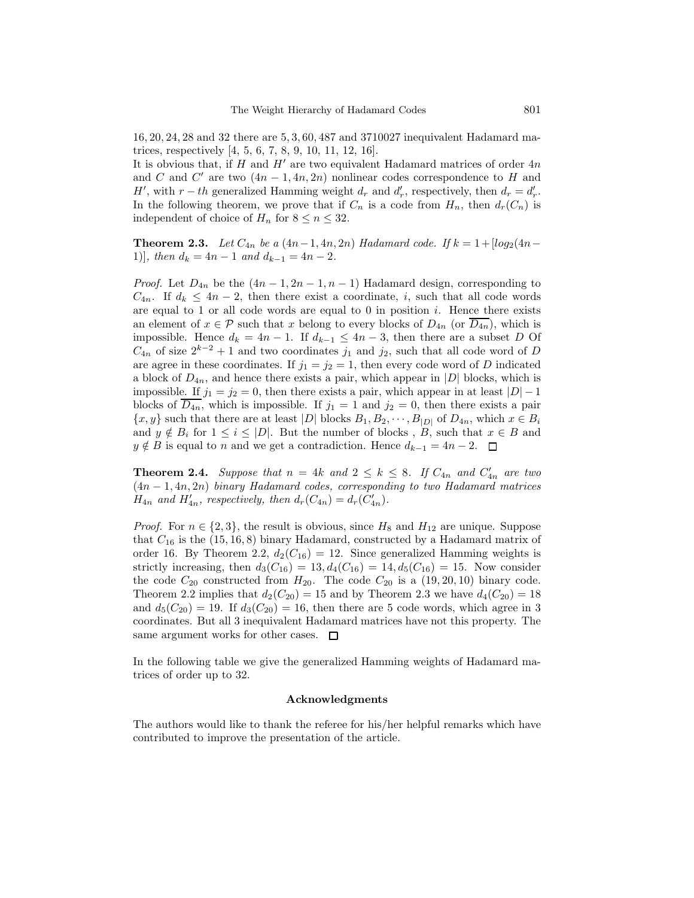16, 20, 24, 28 and 32 there are 5, 3, 60, 487 and 3710027 inequivalent Hadamard matrices, respectively [4, 5, 6, 7, 8, 9, 10, 11, 12, 16].

It is obvious that, if H and  $H'$  are two equivalent Hadamard matrices of order  $4n$ and C and C' are two  $(4n-1, 4n, 2n)$  nonlinear codes correspondence to H and *H'*, with  $r-th$  generalized Hamming weight  $d_r$  and  $d'_r$ , respectively, then  $d_r = d'_r$ . In the following theorem, we prove that if  $C_n$  is a code from  $H_n$ , then  $d_r(C_n)$  is independent of choice of  $H_n$  for  $8 \le n \le 32$ .

**Theorem 2.3.** Let  $C_{4n}$  be a  $(4n-1, 4n, 2n)$  Hadamard code. If  $k = 1 + [log_2(4n-1, 4n, 2n)]$ 1)], then  $d_k = 4n - 1$  and  $d_{k-1} = 4n - 2$ .

*Proof.* Let  $D_{4n}$  be the  $(4n-1, 2n-1, n-1)$  Hadamard design, corresponding to  $C_{4n}$ . If  $d_k \leq 4n-2$ , then there exist a coordinate, i, such that all code words are equal to 1 or all code words are equal to 0 in position  $i$ . Hence there exists an element of  $x \in \mathcal{P}$  such that x belong to every blocks of  $D_{4n}$  (or  $\overline{D_{4n}}$ ), which is impossible. Hence  $d_k = 4n - 1$ . If  $d_{k-1} \leq 4n - 3$ , then there are a subset D Of  $C_{4n}$  of size  $2^{k-2}+1$  and two coordinates  $j_1$  and  $j_2$ , such that all code word of D are agree in these coordinates. If  $j_1 = j_2 = 1$ , then every code word of D indicated a block of  $D_{4n}$ , and hence there exists a pair, which appear in |D| blocks, which is impossible. If  $j_1 = j_2 = 0$ , then there exists a pair, which appear in at least  $|D| - 1$ blocks of  $\overline{D_{4n}}$ , which is impossible. If  $j_1 = 1$  and  $j_2 = 0$ , then there exists a pair  $\{x, y\}$  such that there are at least  $|D|$  blocks  $B_1, B_2, \dots, B_{|D|}$  of  $D_{4n}$ , which  $x \in B_i$ and  $y \notin B_i$  for  $1 \leq i \leq |D|$ . But the number of blocks, B, such that  $x \in B$  and  $y \notin B$  is equal to n and we get a contradiction. Hence  $d_{k-1} = 4n - 2$ .  $\Box$ 

**Theorem 2.4.** Suppose that  $n = 4k$  and  $2 \le k \le 8$ . If  $C_{4n}$  and  $C'_{4n}$  are two  $(4n-1, 4n, 2n)$  binary Hadamard codes, corresponding to two Hadamard matrices  $H_{4n}$  and  $H'_{4n}$ , respectively, then  $d_r(C_{4n}) = d_r(C'_{4n})$ .

*Proof.* For  $n \in \{2,3\}$ , the result is obvious, since  $H_8$  and  $H_{12}$  are unique. Suppose that  $C_{16}$  is the (15, 16, 8) binary Hadamard, constructed by a Hadamard matrix of order 16. By Theorem 2.2,  $d_2(C_{16}) = 12$ . Since generalized Hamming weights is strictly increasing, then  $d_3(C_{16}) = 13, d_4(C_{16}) = 14, d_5(C_{16}) = 15$ . Now consider the code  $C_{20}$  constructed from  $H_{20}$ . The code  $C_{20}$  is a  $(19, 20, 10)$  binary code. Theorem 2.2 implies that  $d_2(C_{20}) = 15$  and by Theorem 2.3 we have  $d_4(C_{20}) = 18$ and  $d_5(C_{20}) = 19$ . If  $d_3(C_{20}) = 16$ , then there are 5 code words, which agree in 3 coordinates. But all 3 inequivalent Hadamard matrices have not this property. The same argument works for other cases.  $\square$ 

In the following table we give the generalized Hamming weights of Hadamard matrices of order up to 32.

### Acknowledgments

The authors would like to thank the referee for his/her helpful remarks which have contributed to improve the presentation of the article.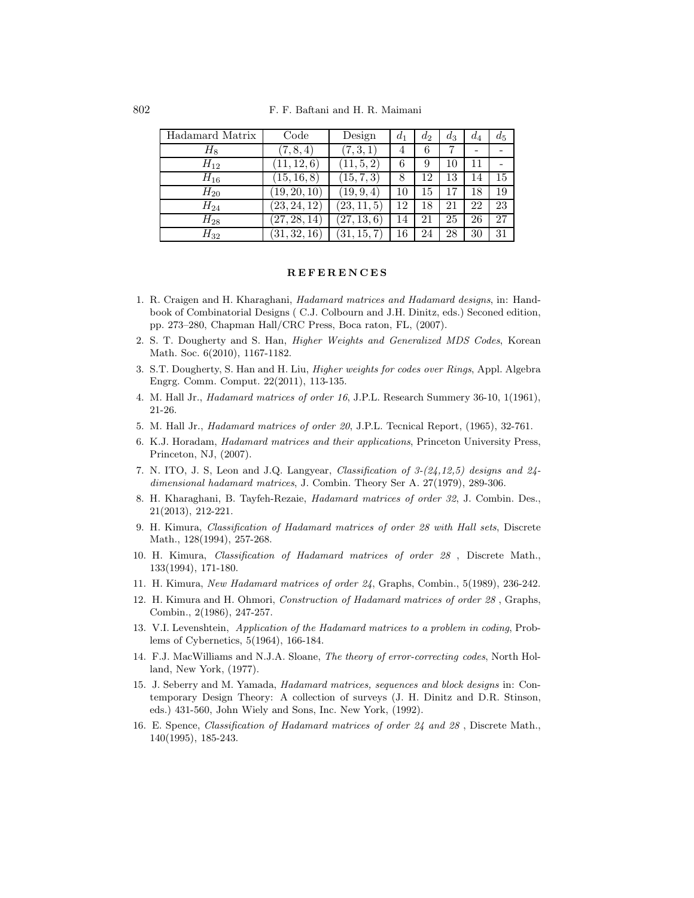| Hadamard Matrix | Code         | Design            | $d_1$ | $d_2$ | $d_3$ | $d_4$ | $d_5$ |
|-----------------|--------------|-------------------|-------|-------|-------|-------|-------|
| $H_8$           | (7, 8, 4)    | (7, 3, 1)         | 4     | 6     |       |       |       |
| $H_{12}$        | 11, 12, 6)   | (11, 5, 2)        | 6     | 9     | 10    | 11    |       |
| $H_{16}$        | (15, 16, 8)  | (15, 7, 3)        | 8     | 12    | 13    | 14    | 15    |
| $H_{20}$        | [19, 20, 10] | (19, 9, 4)        | 10    | 15    |       | 18    | 19    |
| $H_{24}$        | (23, 24, 12) | (23, 11, 5)       | 12    | 18    | 21    | 22    | 23    |
| $H_{28}$        | (27, 28, 14) | (27, 13, 6)       | 14    | 21    | 25    | 26    | 27    |
| $H_{32}$        | (31,32,16)   | (31, 1)<br>15, 7) | 16    | 24    | 28    | 30    | 31    |

#### **REFERENCES**

- 1. R. Craigen and H. Kharaghani, Hadamard matrices and Hadamard designs, in: Handbook of Combinatorial Designs ( C.J. Colbourn and J.H. Dinitz, eds.) Seconed edition, pp. 273–280, Chapman Hall/CRC Press, Boca raton, FL, (2007).
- 2. S. T. Dougherty and S. Han, Higher Weights and Generalized MDS Codes, Korean Math. Soc. 6(2010), 1167-1182.
- 3. S.T. Dougherty, S. Han and H. Liu, Higher weights for codes over Rings, Appl. Algebra Engrg. Comm. Comput. 22(2011), 113-135.
- 4. M. Hall Jr., Hadamard matrices of order 16, J.P.L. Research Summery 36-10, 1(1961), 21-26.
- 5. M. Hall Jr., Hadamard matrices of order 20, J.P.L. Tecnical Report, (1965), 32-761.
- 6. K.J. Horadam, Hadamard matrices and their applications, Princeton University Press, Princeton, NJ, (2007).
- 7. N. ITO, J. S, Leon and J.Q. Langyear, Classification of 3-(24,12,5) designs and 24 dimensional hadamard matrices, J. Combin. Theory Ser A. 27(1979), 289-306.
- 8. H. Kharaghani, B. Tayfeh-Rezaie, Hadamard matrices of order 32, J. Combin. Des., 21(2013), 212-221.
- 9. H. Kimura, Classification of Hadamard matrices of order 28 with Hall sets, Discrete Math., 128(1994), 257-268.
- 10. H. Kimura, Classification of Hadamard matrices of order 28 , Discrete Math., 133(1994), 171-180.
- 11. H. Kimura, New Hadamard matrices of order 24, Graphs, Combin., 5(1989), 236-242.
- 12. H. Kimura and H. Ohmori, Construction of Hadamard matrices of order 28 , Graphs, Combin., 2(1986), 247-257.
- 13. V.I. Levenshtein, Application of the Hadamard matrices to a problem in coding, Problems of Cybernetics, 5(1964), 166-184.
- 14. F.J. MacWilliams and N.J.A. Sloane, The theory of error-correcting codes, North Holland, New York, (1977).
- 15. J. Seberry and M. Yamada, Hadamard matrices, sequences and block designs in: Contemporary Design Theory: A collection of surveys (J. H. Dinitz and D.R. Stinson, eds.) 431-560, John Wiely and Sons, Inc. New York, (1992).
- 16. E. Spence, Classification of Hadamard matrices of order 24 and 28 , Discrete Math., 140(1995), 185-243.